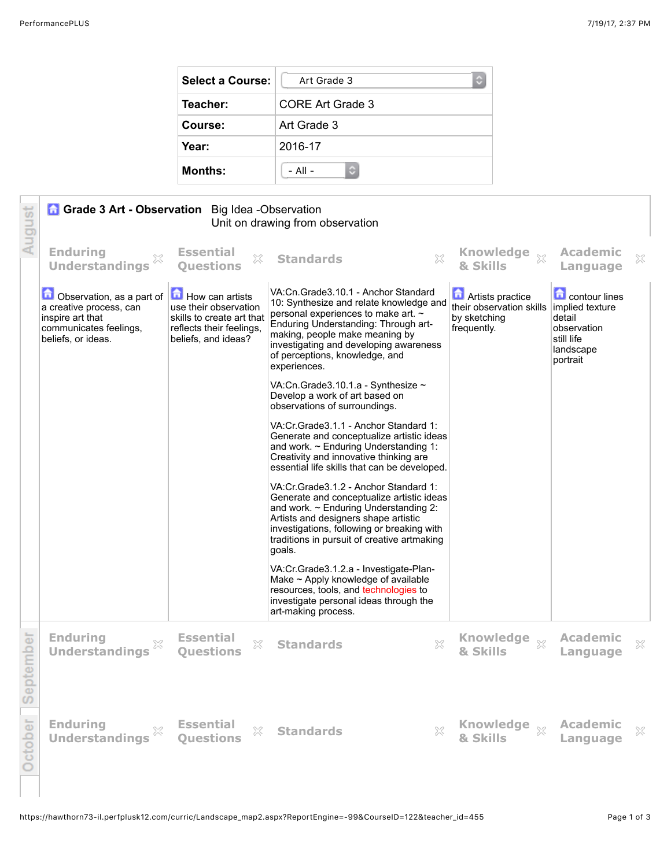| <b>Select a Course:</b> | Art Grade 3<br>С        |  |
|-------------------------|-------------------------|--|
| Teacher:                | <b>CORE Art Grade 3</b> |  |
| Course:                 | Art Grade 3             |  |
| Year:                   | 2016-17                 |  |
| <b>Months:</b>          | $-$ All $-$             |  |

| August    | <b>Grade 3 Art - Observation</b> Big Idea - Observation<br>Unit on drawing from observation                              |                                                                                                                          |                                                                                                                                                                                                                                                                                                  |                                                                                    |                                                                                                         |   |
|-----------|--------------------------------------------------------------------------------------------------------------------------|--------------------------------------------------------------------------------------------------------------------------|--------------------------------------------------------------------------------------------------------------------------------------------------------------------------------------------------------------------------------------------------------------------------------------------------|------------------------------------------------------------------------------------|---------------------------------------------------------------------------------------------------------|---|
|           | <b>Enduring</b><br><b>Understandings</b>                                                                                 | <b>Essential</b><br>X<br><b>Ouestions</b>                                                                                | $\mathbb{Z}^2$<br><b>Standards</b>                                                                                                                                                                                                                                                               | Knowledge xx<br>& Skills                                                           | <b>Academic</b><br>Language                                                                             | X |
|           | Observation, as a part of<br>a creative process, can<br>inspire art that<br>communicates feelings,<br>beliefs, or ideas. | How can artists<br>use their observation<br>skills to create art that<br>reflects their feelings,<br>beliefs, and ideas? | VA:Cn.Grade3.10.1 - Anchor Standard<br>10: Synthesize and relate knowledge and<br>personal experiences to make art. $\sim$<br>Enduring Understanding: Through art-<br>making, people make meaning by<br>investigating and developing awareness<br>of perceptions, knowledge, and<br>experiences. | <b>Artists practice</b><br>their observation skills<br>by sketching<br>frequently. | <b>Contour lines</b><br>implied texture<br>detail<br>observation<br>still life<br>landscape<br>portrait |   |
|           |                                                                                                                          |                                                                                                                          | VA:Cn.Grade3.10.1.a - Synthesize $\sim$<br>Develop a work of art based on<br>observations of surroundings.                                                                                                                                                                                       |                                                                                    |                                                                                                         |   |
|           |                                                                                                                          |                                                                                                                          | VA:Cr.Grade3.1.1 - Anchor Standard 1:<br>Generate and conceptualize artistic ideas<br>and work. $\sim$ Enduring Understanding 1:<br>Creativity and innovative thinking are.<br>essential life skills that can be developed.                                                                      |                                                                                    |                                                                                                         |   |
|           |                                                                                                                          |                                                                                                                          | VA: Cr. Grade 3.1.2 - Anchor Standard 1:<br>Generate and conceptualize artistic ideas<br>and work. $\sim$ Enduring Understanding 2:<br>Artists and designers shape artistic<br>investigations, following or breaking with<br>traditions in pursuit of creative artmaking<br>goals.               |                                                                                    |                                                                                                         |   |
|           |                                                                                                                          |                                                                                                                          | VA: Cr. Grade 3.1.2. a - Investigate-Plan-<br>Make $\sim$ Apply knowledge of available<br>resources, tools, and technologies to<br>investigate personal ideas through the<br>art-making process.                                                                                                 |                                                                                    |                                                                                                         |   |
| September | <b>Enduring</b><br><b>Understandings</b>                                                                                 | <b>Essential</b><br>X<br><b>Ouestions</b>                                                                                | <b>Standards</b><br>X                                                                                                                                                                                                                                                                            | <b>Knowledge</b><br>$\bar{\chi}$<br>& Skills                                       | <b>Academic</b><br>Language                                                                             | X |
| October   | <b>Enduring</b><br><b>Understandings</b>                                                                                 | <b>Essential</b><br>X<br>Ouestions                                                                                       | <b>Standards</b><br>×                                                                                                                                                                                                                                                                            | & Skills                                                                           | <b>Academic</b><br>Language                                                                             | X |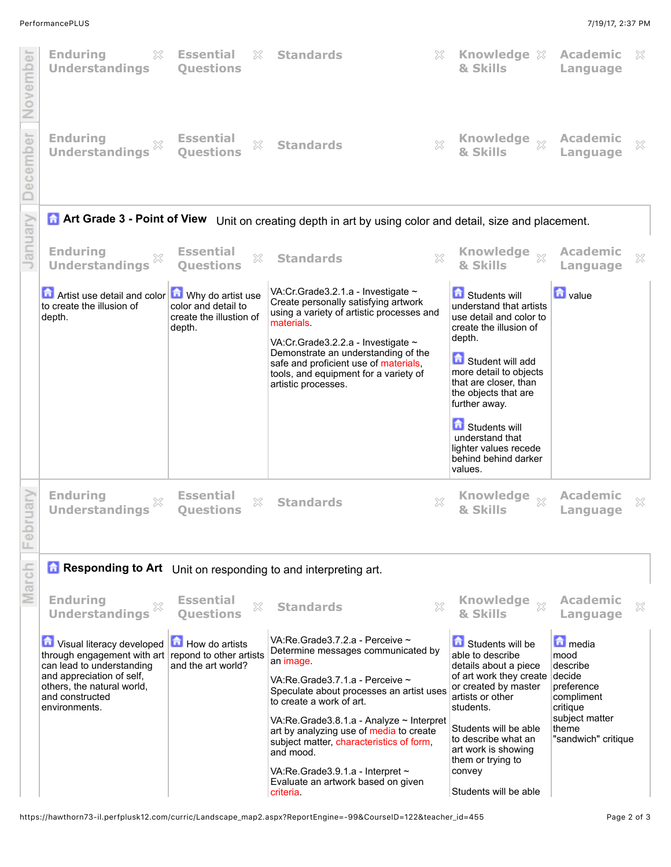

https://hawthorn73-il.perfplusk12.com/curric/Landscape\_map2.aspx?ReportEngine=-99&CourseID=122&teacher\_id=455 Page 2 of 3